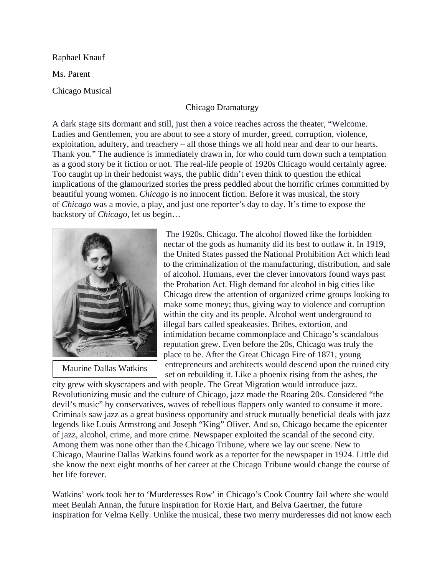Raphael Knauf

Ms. Parent

Chicago Musical

## Chicago Dramaturgy

A dark stage sits dormant and still, just then a voice reaches across the theater, "Welcome. Ladies and Gentlemen, you are about to see a story of murder, greed, corruption, violence, exploitation, adultery, and treachery – all those things we all hold near and dear to our hearts. Thank you." The audience is immediately drawn in, for who could turn down such a temptation as a good story be it fiction or not. The real-life people of 1920s Chicago would certainly agree. Too caught up in their hedonist ways, the public didn't even think to question the ethical implications of the glamourized stories the press peddled about the horrific crimes committed by beautiful young women. *Chicago* is no innocent fiction. Before it was musical, the story of *Chicago* was a movie, a play, and just one reporter's day to day. It's time to expose the backstory of *Chicago*, let us begin…



Maurine Dallas Watkins

The 1920s. Chicago. The alcohol flowed like the forbidden nectar of the gods as humanity did its best to outlaw it. In 1919, the United States passed the National Prohibition Act which lead to the criminalization of the manufacturing, distribution, and sale of alcohol. Humans, ever the clever innovators found ways past the Probation Act. High demand for alcohol in big cities like Chicago drew the attention of organized crime groups looking to make some money; thus, giving way to violence and corruption within the city and its people. Alcohol went underground to illegal bars called speakeasies. Bribes, extortion, and intimidation became commonplace and Chicago's scandalous reputation grew. Even before the 20s, Chicago was truly the place to be. After the Great Chicago Fire of 1871, young entrepreneurs and architects would descend upon the ruined city set on rebuilding it. Like a phoenix rising from the ashes, the

city grew with skyscrapers and with people. The Great Migration would introduce jazz. Revolutionizing music and the culture of Chicago, jazz made the Roaring 20s. Considered "the devil's music" by conservatives, waves of rebellious flappers only wanted to consume it more. Criminals saw jazz as a great business opportunity and struck mutually beneficial deals with jazz legends like Louis Armstrong and Joseph "King" Oliver. And so, Chicago became the epicenter of jazz, alcohol, crime, and more crime. Newspaper exploited the scandal of the second city. Among them was none other than the Chicago Tribune, where we lay our scene. New to Chicago, Maurine Dallas Watkins found work as a reporter for the newspaper in 1924. Little did she know the next eight months of her career at the Chicago Tribune would change the course of her life forever.

Watkins' work took her to 'Murderesses Row' in Chicago's Cook Country Jail where she would meet Beulah Annan, the future inspiration for Roxie Hart, and Belva Gaertner, the future inspiration for Velma Kelly. Unlike the musical, these two merry murderesses did not know each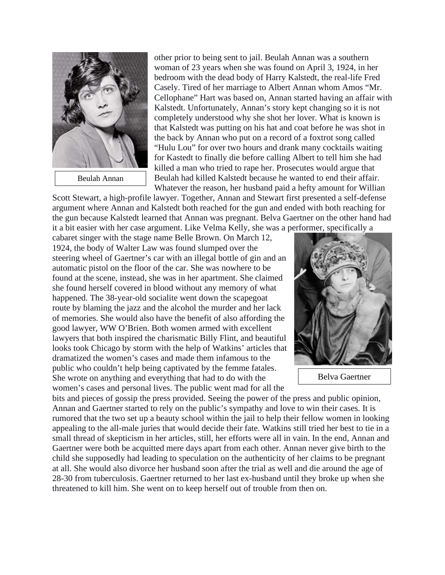

other prior to being sent to jail. Beulah Annan was a southern woman of 23 years when she was found on April 3, 1924, in her bedroom with the dead body of Harry Kalstedt, the real-life Fred Casely. Tired of her marriage to Albert Annan whom Amos "Mr. Cellophane" Hart was based on, Annan started having an affair with Kalstedt. Unfortunately, Annan's story kept changing so it is not completely understood why she shot her lover. What is known is that Kalstedt was putting on his hat and coat before he was shot in the back by Annan who put on a record of a foxtrot song called "Hulu Lou" for over two hours and drank many cocktails waiting for Kastedt to finally die before calling Albert to tell him she had killed a man who tried to rape her. Prosecutes would argue that Beulah had killed Kalstedt because he wanted to end their affair. Whatever the reason, her husband paid a hefty amount for Willian

Scott Stewart, a high-profile lawyer. Together, Annan and Stewart first presented a self-defense argument where Annan and Kalstedt both reached for the gun and ended with both reaching for the gun because Kalstedt learned that Annan was pregnant. Belva Gaertner on the other hand had it a bit easier with her case argument. Like Velma Kelly, she was a performer, specifically a

cabaret singer with the stage name Belle Brown. On March 12, 1924, the body of Walter Law was found slumped over the steering wheel of Gaertner's car with an illegal bottle of gin and an automatic pistol on the floor of the car. She was nowhere to be found at the scene, instead, she was in her apartment. She claimed she found herself covered in blood without any memory of what happened. The 38-year-old socialite went down the scapegoat route by blaming the jazz and the alcohol the murder and her lack of memories. She would also have the benefit of also affording the good lawyer, WW O'Brien. Both women armed with excellent lawyers that both inspired the charismatic Billy Flint, and beautiful looks took Chicago by storm with the help of Watkins' articles that dramatized the women's cases and made them infamous to the public who couldn't help being captivated by the femme fatales. She wrote on anything and everything that had to do with the women's cases and personal lives. The public went mad for all the



Belva Gaertner

bits and pieces of gossip the press provided. Seeing the power of the press and public opinion, Annan and Gaertner started to rely on the public's sympathy and love to win their cases. It is rumored that the two set up a beauty school within the jail to help their fellow women in looking appealing to the all-male juries that would decide their fate. Watkins still tried her best to tie in a small thread of skepticism in her articles, still, her efforts were all in vain. In the end, Annan and Gaertner were both be acquitted mere days apart from each other. Annan never give birth to the child she supposedly had leading to speculation on the authenticity of her claims to be pregnant at all. She would also divorce her husband soon after the trial as well and die around the age of 28-30 from tuberculosis. Gaertner returned to her last ex-husband until they broke up when she threatened to kill him. She went on to keep herself out of trouble from then on.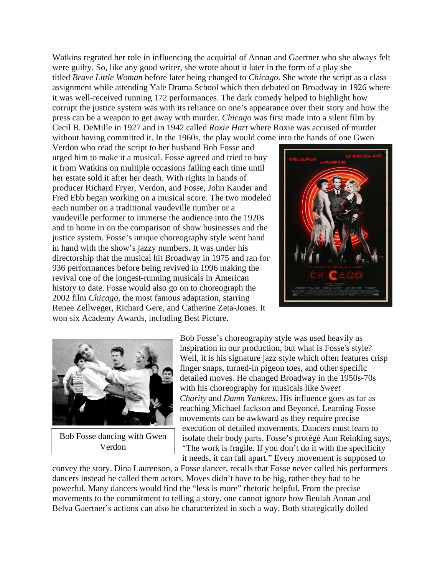Watkins regrated her role in influencing the acquittal of Annan and Gaertner who she always felt were guilty. So, like any good writer, she wrote about it later in the form of a play she titled *Brave Little Woman* before later being changed to *Chicago*. She wrote the script as a class assignment while attending Yale Drama School which then debuted on Broadway in 1926 where it was well-received running 172 performances. The dark comedy helped to highlight how corrupt the justice system was with its reliance on one's appearance over their story and how the press can be a weapon to get away with murder. *Chicago* was first made into a silent film by Cecil B. DeMille in 1927 and in 1942 called *Roxie Hart* where Roxie was accused of murder without having committed it. In the 1960s, the play would come into the hands of one Gwen

Verdon who read the script to her husband Bob Fosse and urged him to make it a musical. Fosse agreed and tried to buy it from Watkins on multiple occasions failing each time until her estate sold it after her death. With rights in hands of producer Richard Fryer, Verdon, and Fosse, John Kander and Fred Ebb began working on a musical score. The two modeled each number on a traditional vaudeville number or a vaudeville performer to immerse the audience into the 1920s and to home in on the comparison of show businesses and the justice system. Fosse's unique choreography style went hand in hand with the show's jazzy numbers. It was under his directorship that the musical hit Broadway in 1975 and ran for 936 performances before being revived in 1996 making the revival one of the longest-running musicals in American history to date. Fosse would also go on to choreograph the 2002 film *Chicago*, the most famous adaptation, starring Renee Zellweger, Richard Gere, and Catherine Zeta-Jones. It won six Academy Awards, including Best Picture.





Bob Fosse dancing with Gwen Verdon

Bob Fosse's choreography style was used heavily as inspiration in our production, but what is Fosse's style? Well, it is his signature jazz style which often features crisp finger snaps, turned-in pigeon toes, and other specific detailed moves. He changed Broadway in the 1950s-70s with his choreography for musicals like *Sweet Charity* and *Damn Yankees*. His influence goes as far as reaching Michael Jackson and Beyoncé. Learning Fosse movements can be awkward as they require precise execution of detailed movements. Dancers must learn to isolate their body parts. Fosse's protégé Ann Reinking says, "The work is fragile. If you don't do it with the specificity it needs, it can fall apart." Every movement is supposed to

convey the story. Dina Laurenson, a Fosse dancer, recalls that Fosse never called his performers dancers instead he called them actors. Moves didn't have to be big, rather they had to be powerful. Many dancers would find the "less is more" rhetoric helpful. From the precise movements to the commitment to telling a story, one cannot ignore how Beulah Annan and Belva Gaertner's actions can also be characterized in such a way. Both strategically dolled